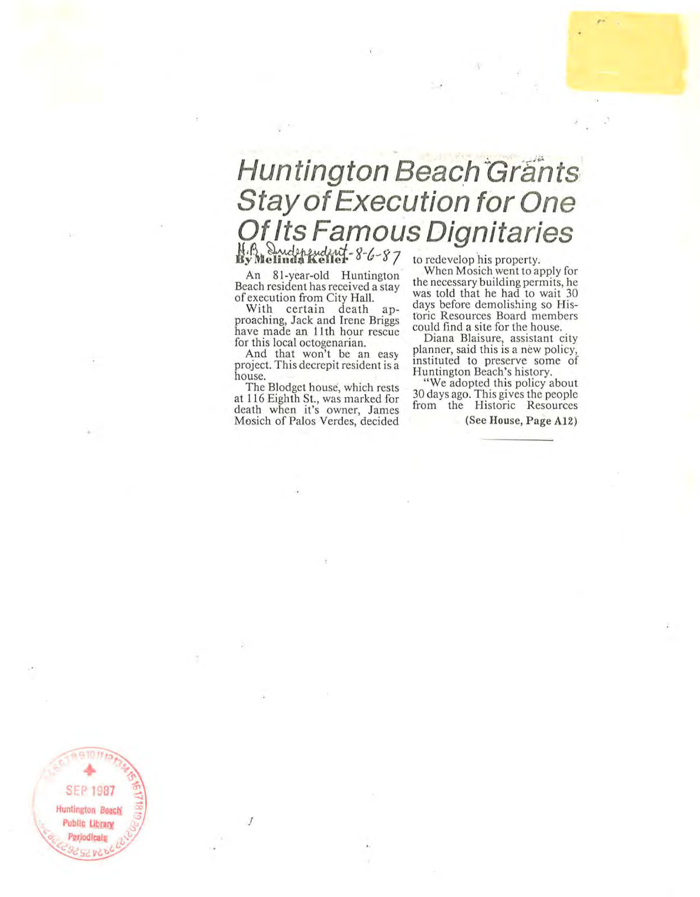## **Huntington Beach Grants Stay of Execution for One Of Its Famous Dignitaries**

An 81-year-old Huntington Beach resident has recei ved a stay of execution from City Hall.

With certain death approaching, Jack and Irene Briggs have made an 11th hour rescue for this local octogenarian.

And that won't be an easy project. This decrepit resident is a house.

The Blodget house, which rests at 116 Eighth St., was marked for death whcn it's owner, James Mosich of Palos Verdes, decided

.I

When Mosieh went to apply for the necessary building permits, he was told that he had to wait 30 days before demolishing so Historic Resources Board members could find a site for the house,

Diana Blaisure, assistant city planner, said this is a new policy, instituted to preserve some of Huntington Beach's history,

" We adopted this policy about 30 days ago, This gives the people from the Historic Resources

(See House, Page A12)

,.